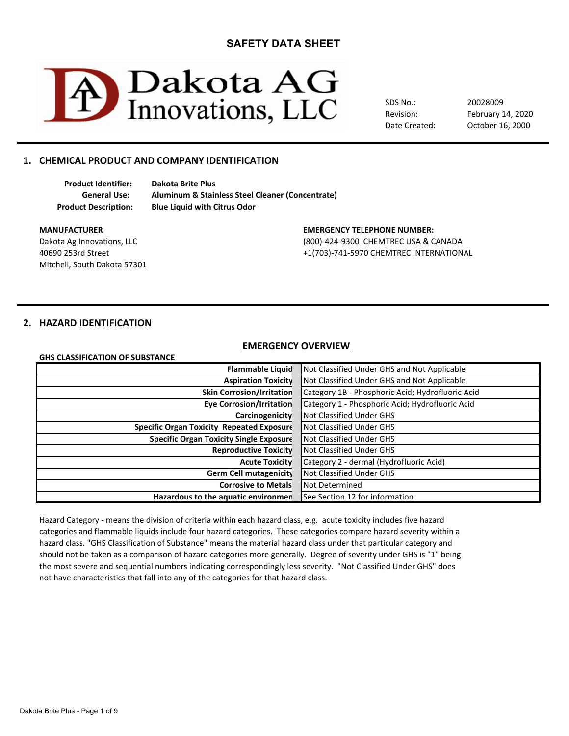

SDS No.: Revision: Date Created: February 14, 2020 20028009 October 16, 2000

# **1. CHEMICAL PRODUCT AND COMPANY IDENTIFICATION**

**Product Identifier: Dakota Brite Plus**

**General Use: Aluminum & Stainless Steel Cleaner (Concentrate) Product Description: Blue Liquid with Citrus Odor**

Mitchell, South Dakota 57301

#### **MANUFACTURER EMERGENCY TELEPHONE NUMBER:**

Dakota Ag Innovations, LLC (800)-424-9300 CHEMTREC USA & CANADA 40690 253rd Street +1(703)-741-5970 CHEMTREC INTERNATIONAL

# **2. HAZARD IDENTIFICATION**

#### **EMERGENCY OVERVIEW**

| GHS CLASSIFICATION OF SUBSTANCE |  |
|---------------------------------|--|
|---------------------------------|--|

| <b>Flammable Liquid</b>                          | Not Classified Under GHS and Not Applicable      |
|--------------------------------------------------|--------------------------------------------------|
| <b>Aspiration Toxicity</b>                       | Not Classified Under GHS and Not Applicable      |
| <b>Skin Corrosion/Irritation</b>                 | Category 1B - Phosphoric Acid; Hydrofluoric Acid |
| <b>Eye Corrosion/Irritation</b>                  | Category 1 - Phosphoric Acid; Hydrofluoric Acid  |
| Carcinogenicity                                  | Not Classified Under GHS                         |
| <b>Specific Organ Toxicity Repeated Exposure</b> | Not Classified Under GHS                         |
| <b>Specific Organ Toxicity Single Exposure</b>   | Not Classified Under GHS                         |
| <b>Reproductive Toxicity</b>                     | Not Classified Under GHS                         |
| <b>Acute Toxicity</b>                            | Category 2 - dermal (Hydrofluoric Acid)          |
| Germ Cell mutagenicity                           | Not Classified Under GHS                         |
| <b>Corrosive to Metals</b>                       | Not Determined                                   |
| Hazardous to the aquatic environmen              | See Section 12 for information                   |

Hazard Category - means the division of criteria within each hazard class, e.g. acute toxicity includes five hazard hazard class. "GHS Classification of Substance" means the material hazard class under that particular category and should not be taken as a comparison of hazard categories more generally. Degree of severity under GHS is "1" being not have characteristics that fall into any of the categories for that hazard class. categories and flammable liquids include four hazard categories. These categories compare hazard severity within a the most severe and sequential numbers indicating correspondingly less severity. "Not Classified Under GHS" does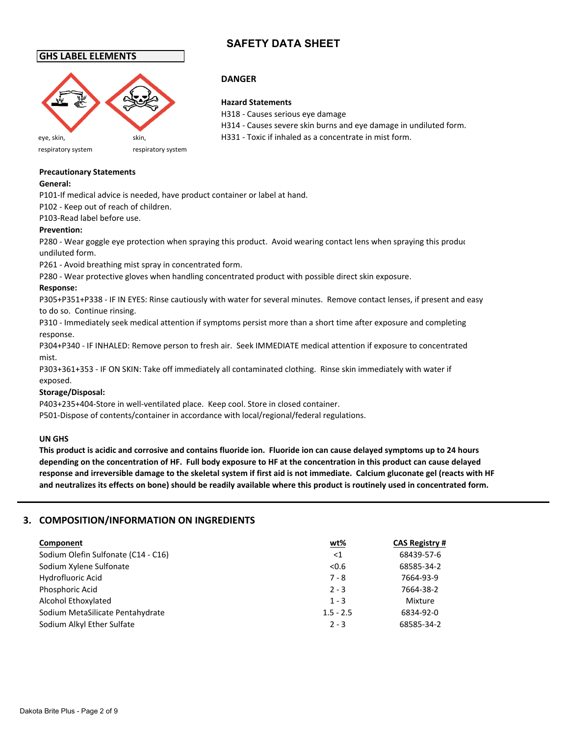# **GHS LABEL ELEMENTS**



**DANGER**

#### **Hazard Statements**

H318 - Causes serious eye damage H314 - Causes severe skin burns and eye damage in undiluted form. eye, skin, skin, skin, skin, H331 - Toxic if inhaled as a concentrate in mist form.

respiratory system respiratory system

# **Precautionary Statements**

## **General:**

P101-If medical advice is needed, have product container or label at hand.

P102 - Keep out of reach of children.

P103-Read label before use.

# **Prevention:**

P280 - Wear goggle eye protection when spraying this product. Avoid wearing contact lens when spraying this produc undiluted form.

P261 - Avoid breathing mist spray in concentrated form.

P280 - Wear protective gloves when handling concentrated product with possible direct skin exposure.

# **Response:**

P305+P351+P338 - IF IN EYES: Rinse cautiously with water for several minutes. Remove contact lenses, if present and easy to do so. Continue rinsing.

P310 - Immediately seek medical attention if symptoms persist more than a short time after exposure and completing response.

P304+P340 - IF INHALED: Remove person to fresh air. Seek IMMEDIATE medical attention if exposure to concentrated mist.

P303+361+353 - IF ON SKIN: Take off immediately all contaminated clothing. Rinse skin immediately with water if exposed.

# **Storage/Disposal:**

P403+235+404-Store in well-ventilated place. Keep cool. Store in closed container. P501-Dispose of contents/container in accordance with local/regional/federal regulations.

### **UN GHS**

**This product is acidic and corrosive and contains fluoride ion. Fluoride ion can cause delayed symptoms up to 24 hours depending on the concentration of HF. Full body exposure to HF at the concentration in this product can cause delayed response and irreversible damage to the skeletal system if first aid is not immediate. Calcium gluconate gel (reacts with HF and neutralizes its effects on bone) should be readily available where this product is routinely used in concentrated form.**

# **3. COMPOSITION/INFORMATION ON INGREDIENTS**

| Component                           | <u>wt%</u>  | <b>CAS Registry #</b> |
|-------------------------------------|-------------|-----------------------|
| Sodium Olefin Sulfonate (C14 - C16) | $<$ 1       | 68439-57-6            |
| Sodium Xylene Sulfonate             | < 0.6       | 68585-34-2            |
| Hydrofluoric Acid                   | $7 - 8$     | 7664-93-9             |
| Phosphoric Acid                     | $2 - 3$     | 7664-38-2             |
| Alcohol Ethoxylated                 | $1 - 3$     | Mixture               |
| Sodium MetaSilicate Pentahydrate    | $1.5 - 2.5$ | 6834-92-0             |
| Sodium Alkyl Ether Sulfate          | $2 - 3$     | 68585-34-2            |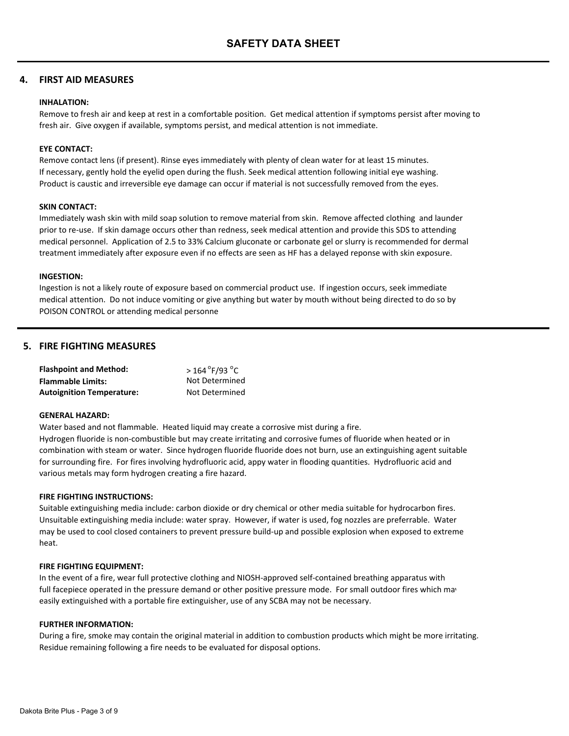# **4. FIRST AID MEASURES**

#### **INHALATION:**

Remove to fresh air and keep at rest in a comfortable position. Get medical attention if symptoms persist after moving to fresh air. Give oxygen if available, symptoms persist, and medical attention is not immediate.

### **EYE CONTACT:**

Remove contact lens (if present). Rinse eyes immediately with plenty of clean water for at least 15 minutes. If necessary, gently hold the eyelid open during the flush. Seek medical attention following initial eye washing. Product is caustic and irreversible eye damage can occur if material is not successfully removed from the eyes.

#### **SKIN CONTACT:**

Immediately wash skin with mild soap solution to remove material from skin. Remove affected clothing and launder prior to re-use. If skin damage occurs other than redness, seek medical attention and provide this SDS to attending medical personnel. Application of 2.5 to 33% Calcium gluconate or carbonate gel or slurry is recommended for dermal treatment immediately after exposure even if no effects are seen as HF has a delayed reponse with skin exposure.

#### **INGESTION:**

Ingestion is not a likely route of exposure based on commercial product use. If ingestion occurs, seek immediate medical attention. Do not induce vomiting or give anything but water by mouth without being directed to do so by POISON CONTROL or attending medical personne

# **5. FIRE FIGHTING MEASURES**

| <b>Flashpoint and Method:</b>    | $>$ 164 $\degree$ F/93 $\degree$ C |
|----------------------------------|------------------------------------|
| <b>Flammable Limits:</b>         | Not Determined                     |
| <b>Autoignition Temperature:</b> | Not Determined                     |

#### **GENERAL HAZARD:**

Water based and not flammable. Heated liquid may create a corrosive mist during a fire. Hydrogen fluoride is non-combustible but may create irritating and corrosive fumes of fluoride when heated or in combination with steam or water. Since hydrogen fluoride fluoride does not burn, use an extinguishing agent suitable for surrounding fire. For fires involving hydrofluoric acid, appy water in flooding quantities. Hydrofluoric acid and various metals may form hydrogen creating a fire hazard.

#### **FIRE FIGHTING INSTRUCTIONS:**

Suitable extinguishing media include: carbon dioxide or dry chemical or other media suitable for hydrocarbon fires. Unsuitable extinguishing media include: water spray. However, if water is used, fog nozzles are preferrable. Water may be used to cool closed containers to prevent pressure build-up and possible explosion when exposed to extreme heat.

#### **FIRE FIGHTING EQUIPMENT:**

In the event of a fire, wear full protective clothing and NIOSH-approved self-contained breathing apparatus with full facepiece operated in the pressure demand or other positive pressure mode. For small outdoor fires which may easily extinguished with a portable fire extinguisher, use of any SCBA may not be necessary.

#### **FURTHER INFORMATION:**

During a fire, smoke may contain the original material in addition to combustion products which might be more irritating. Residue remaining following a fire needs to be evaluated for disposal options.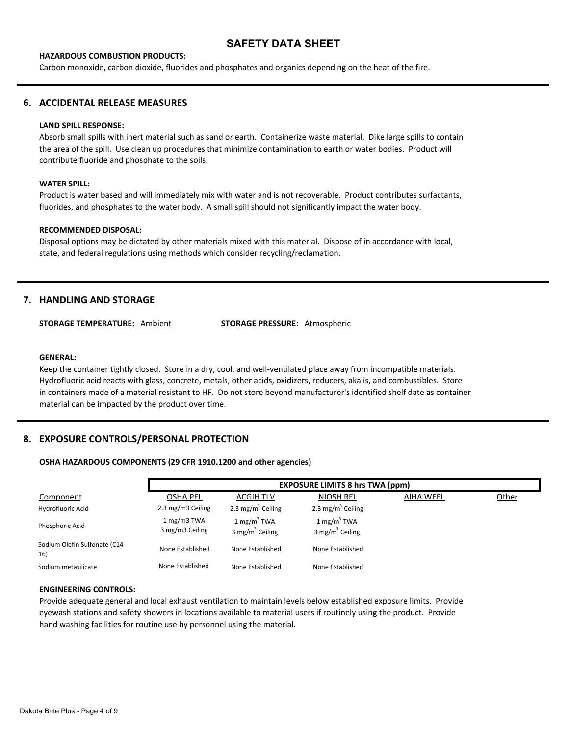#### **HAZARDOUS COMBUSTION PRODUCTS:**

Carbon monoxide, carbon dioxide, fluorides and phosphates and organics depending on the heat of the fire.

## **6. ACCIDENTAL RELEASE MEASURES**

#### **LAND SPILL RESPONSE:**

Absorb small spills with inert material such as sand or earth. Containerize waste material. Dike large spills to contain the area of the spill. Use clean up procedures that minimize contamination to earth or water bodies. Product will contribute fluoride and phosphate to the soils.

#### **WATER SPILL:**

Product is water based and will immediately mix with water and is not recoverable. Product contributes surfactants, fluorides, and phosphates to the water body. A small spill should not significantly impact the water body.

#### **RECOMMENDED DISPOSAL:**

Disposal options may be dictated by other materials mixed with this material. Dispose of in accordance with local, state, and federal regulations using methods which consider recycling/reclamation.

# **7. HANDLING AND STORAGE**

**STORAGE TEMPERATURE:** Ambient **STORAGE PRESSURE:** Atmospheric

#### **GENERAL:**

Keep the container tightly closed. Store in a dry, cool, and well-ventilated place away from incompatible materials. Hydrofluoric acid reacts with glass, concrete, metals, other acids, oxidizers, reducers, akalis, and combustibles. Store in containers made of a material resistant to HF. Do not store beyond manufacturer's identified shelf date as container material can be impacted by the product over time.

## **8. EXPOSURE CONTROLS/PERSONAL PROTECTION**

#### **OSHA HAZARDOUS COMPONENTS (29 CFR 1910.1200 and other agencies)**

|                                      |                                | <b>EXPOSURE LIMITS 8 hrs TWA (ppm)</b>                |                                                       |                  |              |
|--------------------------------------|--------------------------------|-------------------------------------------------------|-------------------------------------------------------|------------------|--------------|
| Component                            | <b>OSHA PEL</b>                | ACGIH TLV                                             | <b>NIOSH REL</b>                                      | <b>AIHA WEEL</b> | <b>Other</b> |
| Hydrofluoric Acid                    | 2.3 mg/m3 Ceiling              | 2.3 mg/m <sup>3</sup> Ceiling                         | 2.3 mg/m <sup>3</sup> Ceiling                         |                  |              |
| Phosphoric Acid                      | 1 mg/m3 TWA<br>3 mg/m3 Ceiling | $1 \text{ mg/m}^3$ TWA<br>3 mg/m <sup>3</sup> Ceiling | $1 \text{ mg/m}^3$ TWA<br>3 mg/m <sup>3</sup> Ceiling |                  |              |
| Sodium Olefin Sulfonate (C14-<br>16) | None Established               | None Established                                      | None Established                                      |                  |              |
| Sodium metasilicate                  | None Established               | None Established                                      | None Established                                      |                  |              |

#### **ENGINEERING CONTROLS:**

Provide adequate general and local exhaust ventilation to maintain levels below established exposure limits. Provide eyewash stations and safety showers in locations available to material users if routinely using the product. Provide hand washing facilities for routine use by personnel using the material.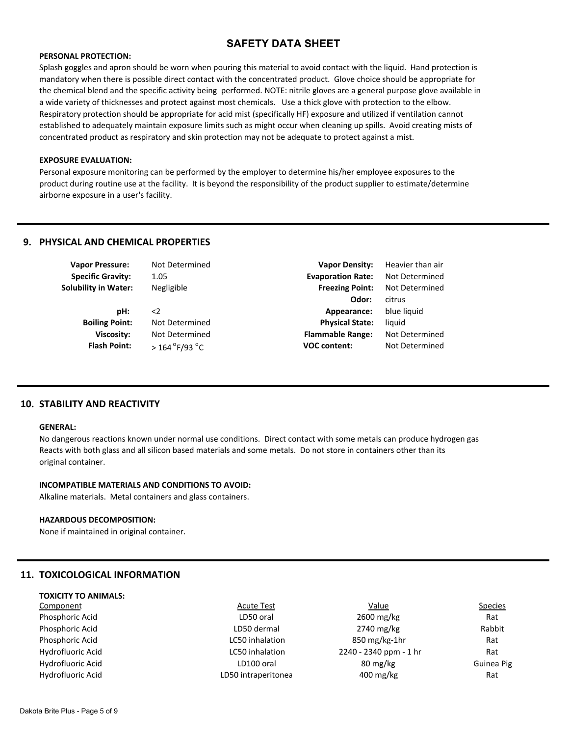#### **PERSONAL PROTECTION:**

Splash goggles and apron should be worn when pouring this material to avoid contact with the liquid. Hand protection is mandatory when there is possible direct contact with the concentrated product. Glove choice should be appropriate for the chemical blend and the specific activity being performed. NOTE: nitrile gloves are a general purpose glove available in a wide variety of thicknesses and protect against most chemicals. Use a thick glove with protection to the elbow. Respiratory protection should be appropriate for acid mist (specifically HF) exposure and utilized if ventilation cannot established to adequately maintain exposure limits such as might occur when cleaning up spills. Avoid creating mists of concentrated product as respiratory and skin protection may not be adequate to protect against a mist.

#### **EXPOSURE EVALUATION:**

Personal exposure monitoring can be performed by the employer to determine his/her employee exposures to the product during routine use at the facility. It is beyond the responsibility of the product supplier to estimate/determine airborne exposure in a user's facility.

# **9. PHYSICAL AND CHEMICAL PROPERTIES**

| <b>Vapor Pressure:</b>      | Not Determined                       | <b>Vapor Density:</b>    | Heavier than air |
|-----------------------------|--------------------------------------|--------------------------|------------------|
| <b>Specific Gravity:</b>    | 1.05                                 | <b>Evaporation Rate:</b> | Not Determined   |
| <b>Solubility in Water:</b> | Negligible                           | <b>Freezing Point:</b>   | Not Determined   |
|                             |                                      | Odor:                    | citrus           |
| pH:                         | $\leq$                               | Appearance:              | blue liquid      |
| <b>Boiling Point:</b>       | Not Determined                       | <b>Physical State:</b>   | liquid           |
| Viscosity:                  | Not Determined                       | <b>Flammable Range:</b>  | Not Determined   |
| <b>Flash Point:</b>         | $>$ 164 $^{\circ}$ F/93 $^{\circ}$ C | <b>VOC content:</b>      | Not Determined   |
|                             |                                      |                          |                  |

## **10. STABILITY AND REACTIVITY**

#### **GENERAL:**

No dangerous reactions known under normal use conditions. Direct contact with some metals can produce hydrogen gas Reacts with both glass and all silicon based materials and some metals. Do not store in containers other than its original container.

#### **INCOMPATIBLE MATERIALS AND CONDITIONS TO AVOID:**

Alkaline materials. Metal containers and glass containers.

#### **HAZARDOUS DECOMPOSITION:**

None if maintained in original container.

# **11. TOXICOLOGICAL INFORMATION**

| <b>TOXICITY TO ANIMALS:</b> |                     |                                    |                |
|-----------------------------|---------------------|------------------------------------|----------------|
| Component                   | <b>Acute Test</b>   | Value                              | <b>Species</b> |
| Phosphoric Acid             | LD50 oral           | 2600 mg/kg                         | Rat            |
| Phosphoric Acid             | LD50 dermal         | 2740 mg/kg                         | Rabbit         |
| Phosphoric Acid             | LC50 inhalation     | $850 \,\mathrm{mg/kg}\text{-}1$ hr | Rat            |
| Hydrofluoric Acid           | LC50 inhalation     | 2240 - 2340 ppm - 1 hr             | Rat            |
| Hydrofluoric Acid           | LD100 oral          | $80 \text{ mg/kg}$                 | Guinea Pig     |
| Hydrofluoric Acid           | LD50 intraperitonea | $400 \text{ mg/kg}$                | Rat            |
|                             |                     |                                    |                |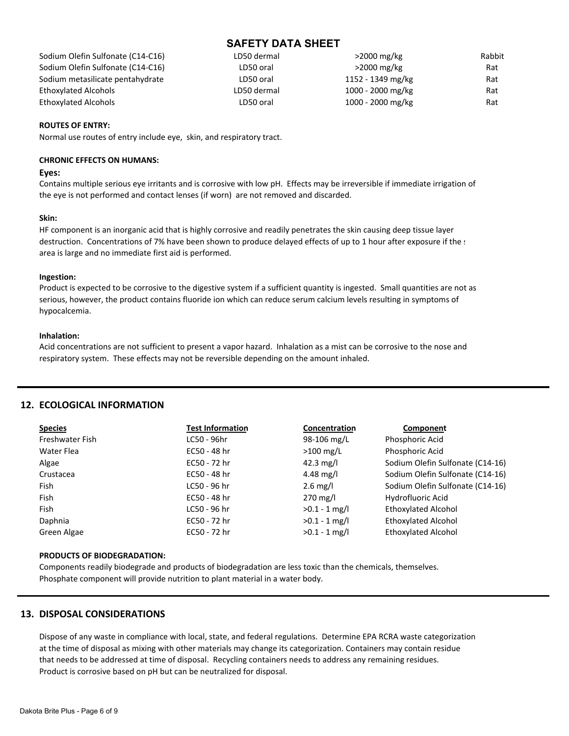| LD50 dermal | $>$ 2000 mg/kg    | Rabbit |
|-------------|-------------------|--------|
| LD50 oral   | $>$ 2000 mg/kg    | Rat    |
| LD50 oral   | 1152 - 1349 mg/kg | Rat    |
| LD50 dermal | 1000 - 2000 mg/kg | Rat    |
| LD50 oral   | 1000 - 2000 mg/kg | Rat    |
|             |                   |        |

### **ROUTES OF ENTRY:**

Normal use routes of entry include eye, skin, and respiratory tract.

#### **CHRONIC EFFECTS ON HUMANS:**

#### **Eyes:**

Contains multiple serious eye irritants and is corrosive with low pH. Effects may be irreversible if immediate irrigation of the eye is not performed and contact lenses (if worn) are not removed and discarded.

#### **Skin:**

HF component is an inorganic acid that is highly corrosive and readily penetrates the skin causing deep tissue layer destruction. Concentrations of 7% have been shown to produce delayed effects of up to 1 hour after exposure if the s area is large and no immediate first aid is performed.

#### **Ingestion:**

Product is expected to be corrosive to the digestive system if a sufficient quantity is ingested. Small quantities are not as serious, however, the product contains fluoride ion which can reduce serum calcium levels resulting in symptoms of hypocalcemia.

#### **Inhalation:**

Acid concentrations are not sufficient to present a vapor hazard. Inhalation as a mist can be corrosive to the nose and respiratory system. These effects may not be reversible depending on the amount inhaled.

### **12. ECOLOGICAL INFORMATION**

| <b>Species</b>  | <b>Test Information</b> | Concentration      | Component                        |
|-----------------|-------------------------|--------------------|----------------------------------|
| Freshwater Fish | LC50 - 96hr             | 98-106 mg/L        | Phosphoric Acid                  |
| Water Flea      | EC50 - 48 hr            | $>100$ mg/L        | Phosphoric Acid                  |
| Algae           | EC50 - 72 hr            | 42.3 $mg/l$        | Sodium Olefin Sulfonate (C14-16) |
| Crustacea       | EC50 - 48 hr            | 4.48 mg/l          | Sodium Olefin Sulfonate (C14-16) |
| Fish            | LC50 - 96 hr            | $2.6 \text{ mg/l}$ | Sodium Olefin Sulfonate (C14-16) |
| Fish            | EC50 - 48 hr            | 270 mg/l           | Hydrofluoric Acid                |
| Fish            | LC50 - 96 hr            | $>0.1 - 1$ mg/l    | <b>Ethoxylated Alcohol</b>       |
| Daphnia         | EC50 - 72 hr            | $>0.1 - 1$ mg/l    | <b>Ethoxylated Alcohol</b>       |
| Green Algae     | EC50 - 72 hr            | $>0.1 - 1$ mg/l    | <b>Ethoxylated Alcohol</b>       |

### **PRODUCTS OF BIODEGRADATION:**

Components readily biodegrade and products of biodegradation are less toxic than the chemicals, themselves. Phosphate component will provide nutrition to plant material in a water body.

# **13. DISPOSAL CONSIDERATIONS**

Dispose of any waste in compliance with local, state, and federal regulations. Determine EPA RCRA waste categorization at the time of disposal as mixing with other materials may change its categorization. Containers may contain residue that needs to be addressed at time of disposal. Recycling containers needs to address any remaining residues. Product is corrosive based on pH but can be neutralized for disposal.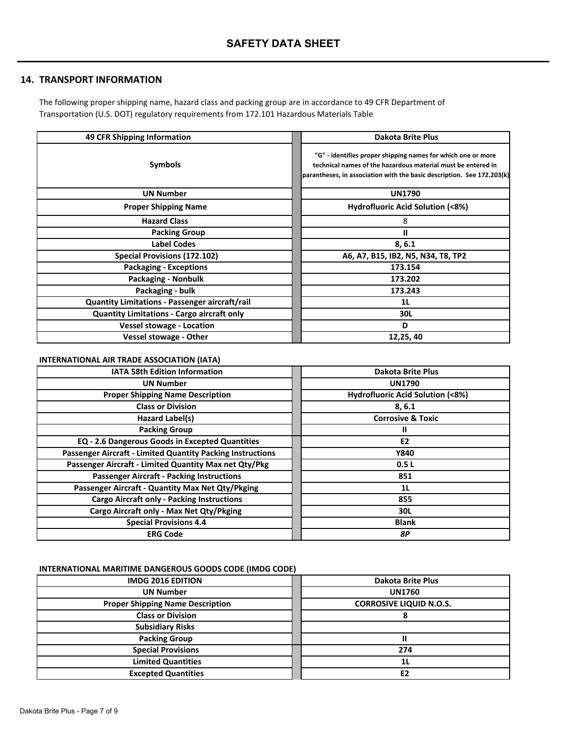# **14. TRANSPORT INFORMATION**

The following proper shipping name, hazard class and packing group are in accordance to 49 CFR Department of Transportation (U.S. DOT) regulatory requirements from 172.101 Hazardous Materials Table

| 49 CFR Shipping Information                       | <b>Dakota Brite Plus</b>                                                                                                                                                                               |
|---------------------------------------------------|--------------------------------------------------------------------------------------------------------------------------------------------------------------------------------------------------------|
| <b>Symbols</b>                                    | "G" - identifies proper shipping names for which one or more<br>technical names of the hazardous material must be entered in<br>parantheses, in association with the basic description. See 172.203(k) |
| <b>UN Number</b>                                  | <b>UN1790</b>                                                                                                                                                                                          |
| <b>Proper Shipping Name</b>                       | <b>Hydrofluoric Acid Solution (&lt;8%)</b>                                                                                                                                                             |
| <b>Hazard Class</b>                               | 8                                                                                                                                                                                                      |
| <b>Packing Group</b>                              | Ш                                                                                                                                                                                                      |
| <b>Label Codes</b>                                | 8, 6.1                                                                                                                                                                                                 |
| Special Provisions (172.102)                      | A6, A7, B15, IB2, N5, N34, T8, TP2                                                                                                                                                                     |
| <b>Packaging - Exceptions</b>                     | 173.154                                                                                                                                                                                                |
| <b>Packaging - Nonbulk</b>                        | 173.202                                                                                                                                                                                                |
| Packaging - bulk                                  | 173.243                                                                                                                                                                                                |
| Quantity Limitations - Passenger aircraft/rail    | 1L                                                                                                                                                                                                     |
| <b>Quantity Limitations - Cargo aircraft only</b> | 30L                                                                                                                                                                                                    |
| <b>Vessel stowage - Location</b>                  | D                                                                                                                                                                                                      |
| <b>Vessel stowage - Other</b>                     | 12,25,40                                                                                                                                                                                               |

# **INTERNATIONAL AIR TRADE ASSOCIATION (IATA)**

| <b>IATA 58th Edition Information</b>                       | <b>Dakota Brite Plus</b>         |
|------------------------------------------------------------|----------------------------------|
| <b>UN Number</b>                                           | <b>UN1790</b>                    |
| <b>Proper Shipping Name Description</b>                    | Hydrofluoric Acid Solution (<8%) |
| <b>Class or Division</b>                                   | 8, 6.1                           |
| Hazard Label(s)                                            | <b>Corrosive &amp; Toxic</b>     |
| <b>Packing Group</b>                                       | н                                |
| EQ - 2.6 Dangerous Goods in Excepted Quantities            | E <sub>2</sub>                   |
| Passenger Aircraft - Limited Quantity Packing Instructions | <b>Y840</b>                      |
| Passenger Aircraft - Limited Quantity Max net Qty/Pkg      | 0.5L                             |
| <b>Passenger Aircraft - Packing Instructions</b>           | 851                              |
| Passenger Aircraft - Quantity Max Net Qty/Pkging           | 1L                               |
| <b>Cargo Aircraft only - Packing Instructions</b>          | 855                              |
| Cargo Aircraft only - Max Net Qty/Pkging                   | 30L                              |
| <b>Special Provisions 4.4</b>                              | <b>Blank</b>                     |
| <b>ERG Code</b>                                            | 8Р                               |

# **INTERNATIONAL MARITIME DANGEROUS GOODS CODE (IMDG CODE)**

| <b>IMDG 2016 EDITION</b>                | <b>Dakota Brite Plus</b>       |
|-----------------------------------------|--------------------------------|
| <b>UN Number</b>                        | <b>UN1760</b>                  |
| <b>Proper Shipping Name Description</b> | <b>CORROSIVE LIQUID N.O.S.</b> |
| <b>Class or Division</b>                | σ                              |
| <b>Subsidiary Risks</b>                 |                                |
| <b>Packing Group</b>                    |                                |
| <b>Special Provisions</b>               | 274                            |
| <b>Limited Quantities</b>               | 1L                             |
| <b>Excepted Quantities</b>              | E <sub>2</sub>                 |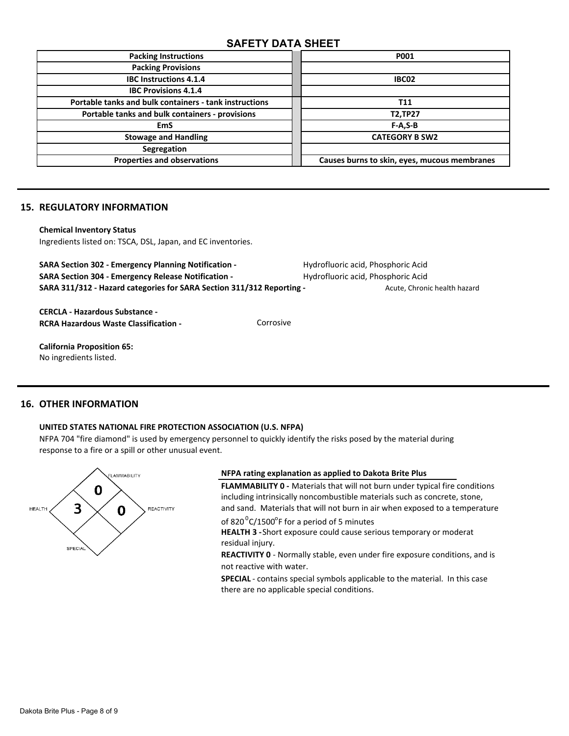| <b>Packing Instructions</b>                            | <b>P001</b>                                  |
|--------------------------------------------------------|----------------------------------------------|
| <b>Packing Provisions</b>                              |                                              |
| <b>IBC Instructions 4.1.4</b>                          | IBC02                                        |
| <b>IBC Provisions 4.1.4</b>                            |                                              |
| Portable tanks and bulk containers - tank instructions | T11                                          |
| Portable tanks and bulk containers - provisions        | <b>T2,TP27</b>                               |
| <b>EmS</b>                                             | $F-A, S-B$                                   |
| <b>Stowage and Handling</b>                            | <b>CATEGORY B SW2</b>                        |
| Segregation                                            |                                              |
| <b>Properties and observations</b>                     | Causes burns to skin, eyes, mucous membranes |

# **15. REGULATORY INFORMATION**

#### **Chemical Inventory Status**

Ingredients listed on: TSCA, DSL, Japan, and EC inventories.

**SARA Section 302 - Emergency Planning Notification -** Hydrofluoric acid, Phosphoric Acid **SARA Section 304 - Emergency Release Notification -** Hydrofluoric acid, Phosphoric Acid SARA 311/312 - Hazard categories for SARA Section 311/312 Reporting - **Acute, Chronic health hazard** 

**CERCLA - Hazardous Substance - RCRA Hazardous Waste Classification - <br> Corrosive** 

**California Proposition 65:**  No ingredients listed.

# **16. OTHER INFORMATION**

### **UNITED STATES NATIONAL FIRE PROTECTION ASSOCIATION (U.S. NFPA)**

NFPA 704 "fire diamond" is used by emergency personnel to quickly identify the risks posed by the material during response to a fire or a spill or other unusual event.



## **NFPA rating explanation as applied to Dakota Brite Plus**

**FLAMMABILITY 0 -** Materials that will not burn under typical fire conditions including intrinsically noncombustible materials such as concrete, stone, and sand. Materials that will not burn in air when exposed to a temperature

of 820 $\mathrm{^0C}/1500\mathrm{^{\circ}F}$  for a period of 5 minutes

**HEALTH 3 -** Short exposure could cause serious temporary or moderat residual injury.

not reactive with water. **REACTIVITY 0** - Normally stable, even under fire exposure conditions, and is

**SPECIAL** - contains special symbols applicable to the material. In this case there are no applicable special conditions.